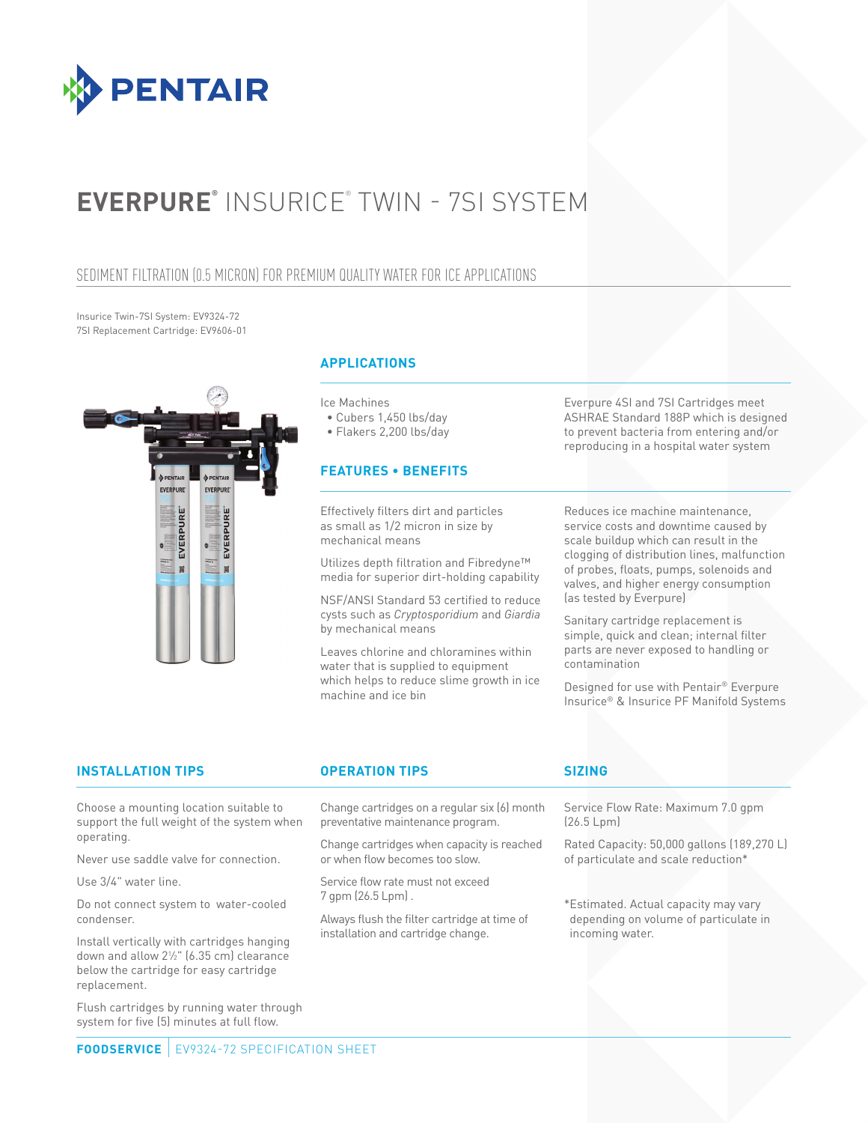

# **EVERPURE®** INSURICE® TWIN - 7SI SYSTEM

### SEDIMENT FILTRATION (0.5 MICRON) FOR PREMIUM QUALITY WATER FOR ICE APPLICATIONS

Insurice Twin-7SI System: EV9324-72 7SI Replacement Cartridge: EV9606-01



### **APPLICATIONS**

Ice Machines

• Cubers 1,450 lbs/day

• Flakers 2,200 lbs/day

### **FEATURES • BENEFITS**

Effectively filters dirt and particles as small as 1/2 micron in size by mechanical means

Utilizes depth filtration and Fibredyne™ media for superior dirt-holding capability

NSF/ANSI Standard 53 certified to reduce cysts such as *Cryptosporidium* and *Giardia* by mechanical means

Leaves chlorine and chloramines within water that is supplied to equipment which helps to reduce slime growth in ice machine and ice bin

Everpure 4SI and 7SI Cartridges meet ASHRAE Standard 188P which is designed to prevent bacteria from entering and/or reproducing in a hospital water system

Reduces ice machine maintenance, service costs and downtime caused by scale buildup which can result in the clogging of distribution lines, malfunction of probes, floats, pumps, solenoids and valves, and higher energy consumption (as tested by Everpure)

Sanitary cartridge replacement is simple, quick and clean; internal filter parts are never exposed to handling or contamination

Designed for use with Pentair® Everpure Insurice® & Insurice PF Manifold Systems

### **INSTALLATION TIPS OPERATION TIPS SIZING**

Choose a mounting location suitable to support the full weight of the system when operating.

Never use saddle valve for connection.

Use 3/4" water line.

Do not connect system to water-cooled condenser.

Install vertically with cartridges hanging down and allow 21 ⁄2" (6.35 cm) clearance below the cartridge for easy cartridge replacement.

Flush cartridges by running water through system for five (5) minutes at full flow.

Change cartridges on a regular six (6) month preventative maintenance program.

Change cartridges when capacity is reached or when flow becomes too slow.

Service flow rate must not exceed 7 gpm (26.5 Lpm) .

Always flush the filter cartridge at time of installation and cartridge change.

Service Flow Rate: Maximum 7.0 gpm (26.5 Lpm)

Rated Capacity: 50,000 gallons (189,270 L) of particulate and scale reduction\*

\*Estimated. Actual capacity may vary depending on volume of particulate in incoming water.